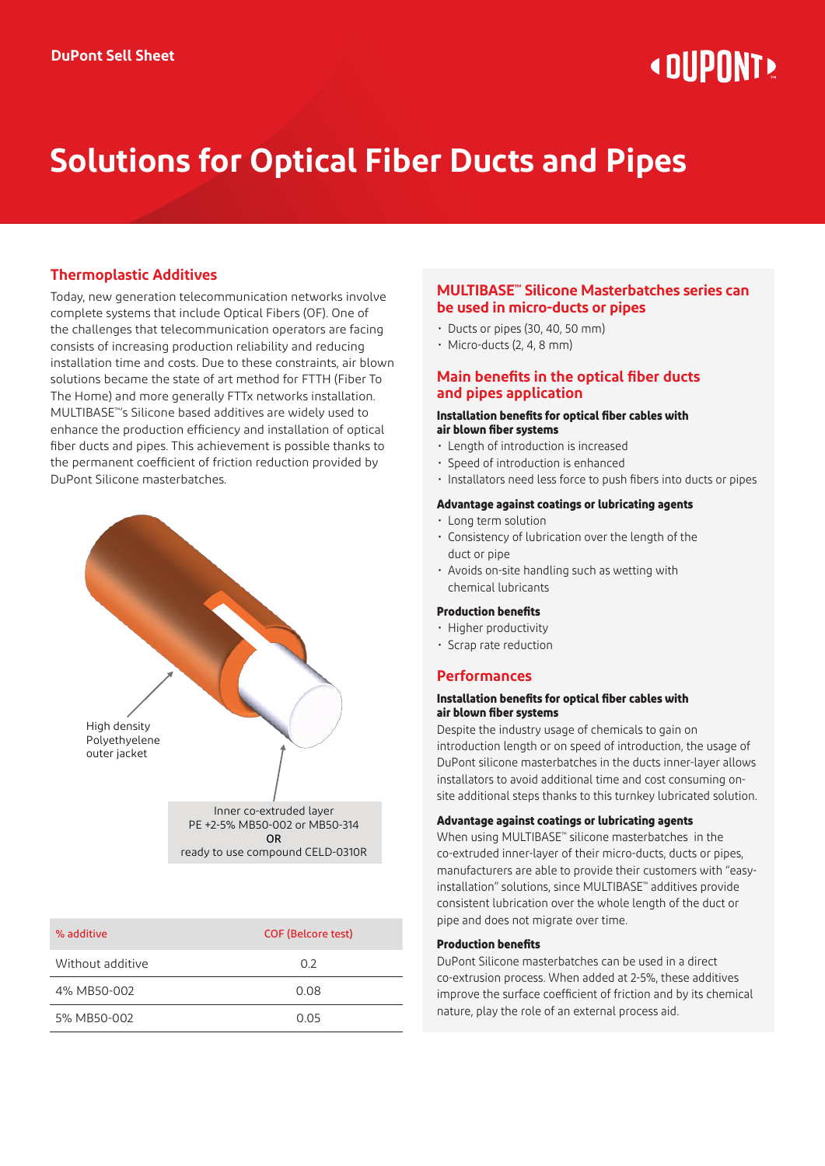# **« DIIPNNT»**

# **Solutions for Optical Fiber Ducts and Pipes**

# **Thermoplastic Additives**

Today, new generation telecommunication networks involve complete systems that include Optical Fibers (OF). One of the challenges that telecommunication operators are facing consists of increasing production reliability and reducing installation time and costs. Due to these constraints, air blown solutions became the state of art method for FTTH (Fiber To The Home) and more generally FTTx networks installation. MULTIBASE™'s Silicone based additives are widely used to enhance the production efficiency and installation of optical fiber ducts and pipes. This achievement is possible thanks to the permanent coefficient of friction reduction provided by DuPont Silicone masterbatches.



| % additive       | <b>COF (Belcore test)</b> |
|------------------|---------------------------|
| Without additive | 02                        |
| 4% MB50-002      | 0.08                      |
| 5% MB50-002      | O 05                      |

### **MULTIBASE™ Silicone Masterbatches series can be used in micro-ducts or pipes**

- Ducts or pipes (30, 40, 50 mm)
- Micro-ducts (2, 4, 8 mm)

# **Main benefits in the optical fiber ducts and pipes application**

#### **Installation benefits for optical fiber cables with air blown fiber systems**

- Length of introduction is increased
- Speed of introduction is enhanced
- Installators need less force to push fibers into ducts or pipes

#### **Advantage against coatings or lubricating agents**

- Long term solution
- Consistency of lubrication over the length of the duct or pipe
- Avoids on-site handling such as wetting with chemical lubricants

#### **Production benefits**

- Higher productivity
- Scrap rate reduction

## **Performances**

#### **Installation benefits for optical fiber cables with air blown fiber systems**

Despite the industry usage of chemicals to gain on introduction length or on speed of introduction, the usage of DuPont silicone masterbatches in the ducts inner-layer allows installators to avoid additional time and cost consuming onsite additional steps thanks to this turnkey lubricated solution.

#### **Advantage against coatings or lubricating agents**

When using MULTIBASE™ silicone masterbatches in the co-extruded inner-layer of their micro-ducts, ducts or pipes, manufacturers are able to provide their customers with "easyinstallation" solutions, since MULTIBASE™ additives provide consistent lubrication over the whole length of the duct or pipe and does not migrate over time.

#### **Production benefits**

DuPont Silicone masterbatches can be used in a direct co-extrusion process. When added at 2-5%, these additives improve the surface coefficient of friction and by its chemical nature, play the role of an external process aid.